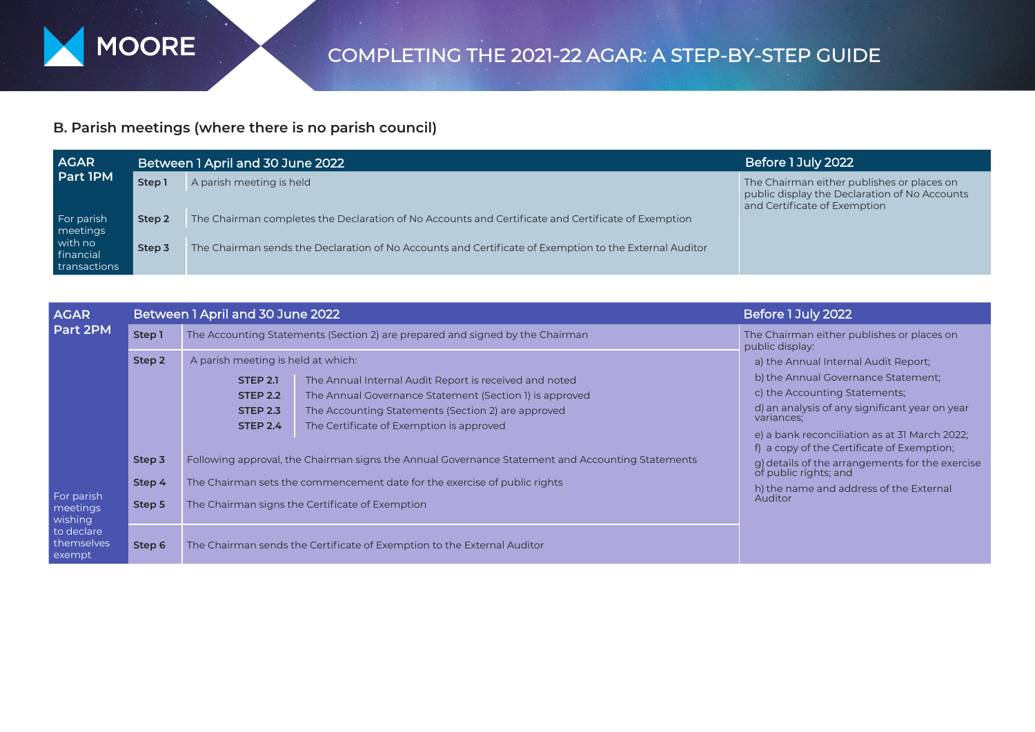

## **B. Parish meetings (where there is no parish council)**

| <b>AGAR</b><br><b>Part IPM</b>       |        | Between 1 April and 30 June 2022                                                                       | Before 1 July 2022                                                                                                          |
|--------------------------------------|--------|--------------------------------------------------------------------------------------------------------|-----------------------------------------------------------------------------------------------------------------------------|
|                                      | Step 1 | A parish meeting is held                                                                               | The Chairman either publishes or places on<br>public display the Declaration of No Accounts<br>and Certificate of Exemption |
| For parish<br>meetings               | Step 2 | The Chairman completes the Declaration of No Accounts and Certificate and Certificate of Exemption     |                                                                                                                             |
| with no<br>financial<br>transactions | Step 3 | The Chairman sends the Declaration of No Accounts and Certificate of Exemption to the External Auditor |                                                                                                                             |

| <b>AGAR</b>                                                                         |                            | Between 1 April and 30 June 2022                                                                                                                                                                                                                                                                                                      | Before 1 July 2022                                                                                                                                                                                                                                                          |  |
|-------------------------------------------------------------------------------------|----------------------------|---------------------------------------------------------------------------------------------------------------------------------------------------------------------------------------------------------------------------------------------------------------------------------------------------------------------------------------|-----------------------------------------------------------------------------------------------------------------------------------------------------------------------------------------------------------------------------------------------------------------------------|--|
| Part 2PM<br>For parish<br>meetings<br>wishing<br>to declare<br>themselves<br>exempt | Step 1                     | The Accounting Statements (Section 2) are prepared and signed by the Chairman                                                                                                                                                                                                                                                         | The Chairman either publishes or places on<br>public display:                                                                                                                                                                                                               |  |
|                                                                                     | Step 2                     | A parish meeting is held at which:<br><b>STEP 2.1</b><br>The Annual Internal Audit Report is received and noted<br>The Annual Governance Statement (Section 1) is approved<br><b>STEP 2.2</b><br>The Accounting Statements (Section 2) are approved<br><b>STEP 2.3</b><br><b>STEP 2.4</b><br>The Certificate of Exemption is approved | a) the Annual Internal Audit Report;<br>b) the Annual Governance Statement:<br>c) the Accounting Statements;<br>d) an analysis of any significant year on year<br>variances;<br>e) a bank reconciliation as at 31 March 2022;<br>f) a copy of the Certificate of Exemption; |  |
|                                                                                     | Step 3<br>Step 4<br>Step 5 | Following approval, the Chairman signs the Annual Governance Statement and Accounting Statements<br>The Chairman sets the commencement date for the exercise of public rights<br>The Chairman signs the Certificate of Exemption                                                                                                      | g) details of the arrangements for the exercise<br>h) the name and address of the External<br>Auditor                                                                                                                                                                       |  |
|                                                                                     | Step 6                     | The Chairman sends the Certificate of Exemption to the External Auditor                                                                                                                                                                                                                                                               |                                                                                                                                                                                                                                                                             |  |